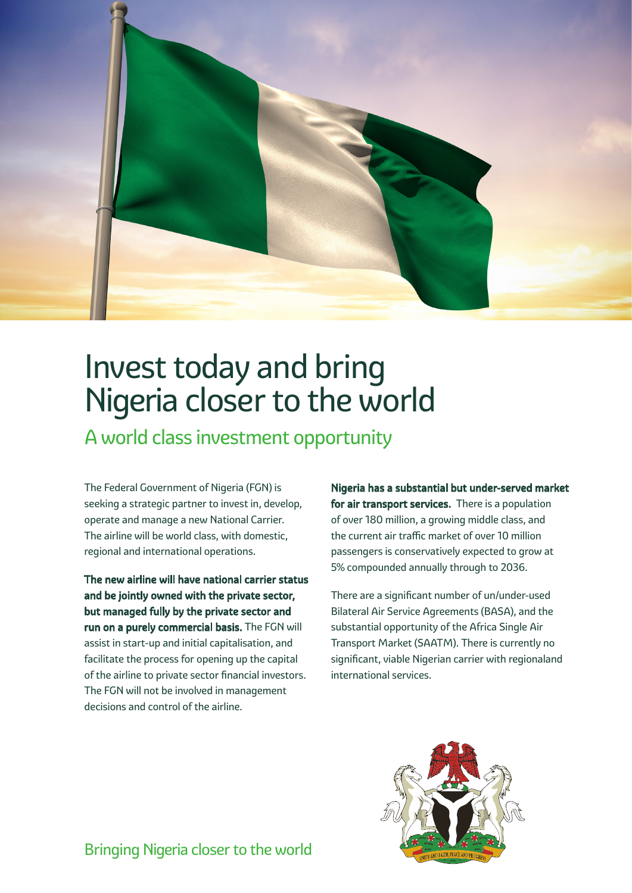

# Invest today and bring Nigeria closer to the world

A world class investment opportunity

The Federal Government of Nigeria (FGN) is seeking a strategic partner to invest in, develop, operate and manage a new National Carrier. The airline will be world class, with domestic, regional and international operations.

The new airline will have national carrier status and be jointly owned with the private sector, but managed fully by the private sector and run on a purely commercial basis. The FGN will assist in start-up and initial capitalisation, and facilitate the process for opening up the capital of the airline to private sector financial investors. The FGN will not be involved in management decisions and control of the airline.

Nigeria has a substantial but under-served market for air transport services. There is a population of over 180 million, a growing middle class, and the current air traffic market of over 10 million passengers is conservatively expected to grow at 5% compounded annually through to 2036.

There are a significant number of un/under-used Bilateral Air Service Agreements (BASA), and the substantial opportunity of the Africa Single Air Transport Market (SAATM). There is currently no significant, viable Nigerian carrier with regionaland international services.



Bringing Nigeria closer to the world